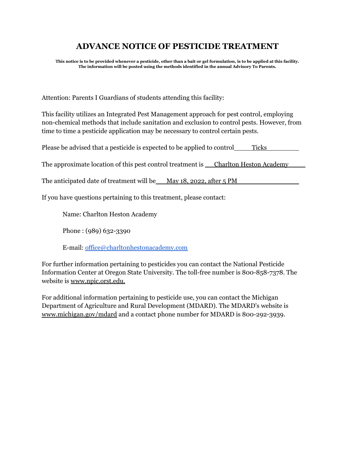## **ADVANCE NOTICE OF PESTICIDE TREATMENT**

This notice is to be provided whenever a pesticide, other than a bait or gel formulation, is to be applied at this facility. **The information will be posted using the methods identified in the annual Advisory To Parents.**

Attention: Parents I Guardians of students attending this facility:

This facility utilizes an Integrated Pest Management approach for pest control, employing non-chemical methods that include sanitation and exclusion to control pests. However, from time to time a pesticide application may be necessary to control certain pests.

Please be advised that a pesticide is expected to be applied to control Ticks

The approximate location of this pest control treatment is <u>Charlton Heston Academy</u>

The anticipated date of treatment will be  $M$ ay 18, 2022, after 5 PM

If you have questions pertaining to this treatment, please contact:

Name: Charlton Heston Academy

Phone : (989) 632-3390

E-mail: [office@charltonhestonacademy.com](mailto:office@charltonhestonacademy.com)

For further information pertaining to pesticides you can contact the National Pesticide Information Center at Oregon State University. The toll-free number is 800-858-7378. The website is www.npic.orst.edu.

For additional information pertaining to pesticide use, you can contact the Michigan Department of Agriculture and Rural Development (MDARD). The MDARD's website is www.michigan.gov/mdard and a contact phone number for MDARD is 800-292-3939.